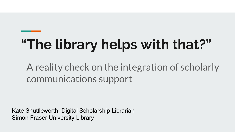# **"The library helps with that?"**

# A reality check on the integration of scholarly communications support

Kate Shuttleworth, Digital Scholarship Librarian Simon Fraser University Library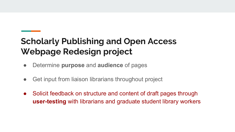# **Scholarly Publishing and Open Access Webpage Redesign project**

- Determine **purpose** and **audience** of pages
- Get input from liaison librarians throughout project
- Solicit feedback on structure and content of draft pages through **user-testing** with librarians and graduate student library workers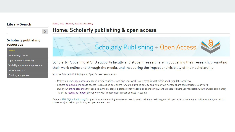### **Library Search**

### Home / Help / Publish / Scholarly publishing



### Home: Scholarly publishing & open access

### **Scholarly publishing** resources

Publishing choices

Open access publishing

Visibility + your online presence

Impact metrics

Funding + supports



Scholarly Publishing at SFU supports faculty and student researchers in publishing their research, promoting their work online and through the media, and measuring the impact and visibility of their scholarship.

Visit the Scholarly Publishing and Open Access resources to:

- . Make your work open access to reach a wider audience and give your work its greatest impact within and beyond the academy;
- . Explore publishing choices to assess journals and publishers for suitability and quality, and retain your right to share and distribute your work;
- . Build your online presence through social media, blogs, a professional website, or connecting with the media to share your research with the wider community;
- · Track the reach and impact of your work with impact metrics such as citation counts.

Contact SFU Digital Publishing for questions about starting an open access journal, making an existing journal open access, creating an online student journal or classroom journal, or publishing an open access book.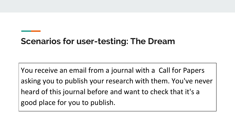## **Scenarios for user-testing: The Dream**

You receive an email from a journal with a Call for Papers asking you to publish your research with them. You've never heard of this journal before and want to check that it's a good place for you to publish.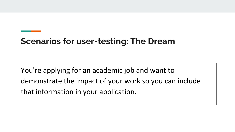## **Scenarios for user-testing: The Dream**

You're applying for an academic job and want to demonstrate the impact of your work so you can include that information in your application.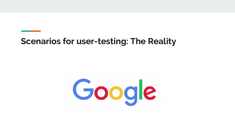### **Scenarios for user-testing: The Reality**

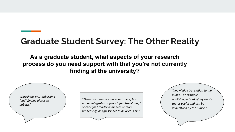### **Graduate Student Survey: The Other Reality**

**As a graduate student, what aspects of your research process do you need support with that you're not currently finding at the university?**

*Workshops on... publishing [and] finding places to publish."*

*"There are many resources out there, but not an integrated approach for "translating" science for broader audiences or more proactively, design science to be accessible"*

*"Knowledge translation to the public. For example, publishing a book of my thesis that is useful and can be understood by the public."*